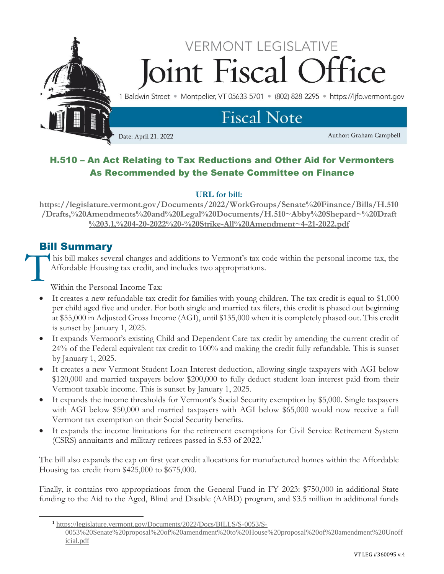

# H.510 – An Act Relating to Tax Reductions and Other Aid for Vermonters As Recommended by the Senate Committee on Finance

### **URL for bill:**

**[https://legislature.vermont.gov/Documents/2022/WorkGroups/Senate%20Finance/Bills/H.510](https://legislature.vermont.gov/Documents/2022/WorkGroups/Senate%20Finance/Bills/H.510/Drafts,%20Amendments%20and%20Legal%20Documents/H.510~Abby%20Shepard~%20Draft%203.1,%204-20-2022%20-%20Strike-All%20Amendment~4-21-2022.pdf) [/Drafts,%20Amendments%20and%20Legal%20Documents/H.510~Abby%20Shepard~%20Draft](https://legislature.vermont.gov/Documents/2022/WorkGroups/Senate%20Finance/Bills/H.510/Drafts,%20Amendments%20and%20Legal%20Documents/H.510~Abby%20Shepard~%20Draft%203.1,%204-20-2022%20-%20Strike-All%20Amendment~4-21-2022.pdf) [%203.1,%204-20-2022%20-%20Strike-All%20Amendment~4-21-2022.pdf](https://legislature.vermont.gov/Documents/2022/WorkGroups/Senate%20Finance/Bills/H.510/Drafts,%20Amendments%20and%20Legal%20Documents/H.510~Abby%20Shepard~%20Draft%203.1,%204-20-2022%20-%20Strike-All%20Amendment~4-21-2022.pdf)**

# Bill Summary T

his bill makes several changes and additions to Vermont's tax code within the personal income tax, the Affordable Housing tax credit, and includes two appropriations.

Within the Personal Income Tax:

- It creates a new refundable tax credit for families with young children. The tax credit is equal to \$1,000 per child aged five and under. For both single and married tax filers, this credit is phased out beginning at \$55,000 in Adjusted Gross Income (AGI), until \$135,000 when it is completely phased out. This credit is sunset by January 1, 2025.
- It expands Vermont's existing Child and Dependent Care tax credit by amending the current credit of 24% of the Federal equivalent tax credit to 100% and making the credit fully refundable. This is sunset by January 1, 2025.
- It creates a new Vermont Student Loan Interest deduction, allowing single taxpayers with AGI below \$120,000 and married taxpayers below \$200,000 to fully deduct student loan interest paid from their Vermont taxable income. This is sunset by January 1, 2025.
- It expands the income thresholds for Vermont's Social Security exemption by \$5,000. Single taxpayers with AGI below \$50,000 and married taxpayers with AGI below \$65,000 would now receive a full Vermont tax exemption on their Social Security benefits.
- It expands the income limitations for the retirement exemptions for Civil Service Retirement System (CSRS) annuitants and military retirees passed in S.53 of 2022. 1

The bill also expands the cap on first year credit allocations for manufactured homes within the Affordable Housing tax credit from \$425,000 to \$675,000.

Finally, it contains two appropriations from the General Fund in FY 2023: \$750,000 in additional State funding to the Aid to the Aged, Blind and Disable (AABD) program, and \$3.5 million in additional funds

<sup>1</sup> [https://legislature.vermont.gov/Documents/2022/Docs/BILLS/S-0053/S-](https://legislature.vermont.gov/Documents/2022/Docs/BILLS/S-0053/S-0053%20Senate%20proposal%20of%20amendment%20to%20House%20proposal%20of%20amendment%20Unofficial.pdf)[0053%20Senate%20proposal%20of%20amendment%20to%20House%20proposal%20of%20amendment%20Unoff](https://legislature.vermont.gov/Documents/2022/Docs/BILLS/S-0053/S-0053%20Senate%20proposal%20of%20amendment%20to%20House%20proposal%20of%20amendment%20Unofficial.pdf) [icial.pdf](https://legislature.vermont.gov/Documents/2022/Docs/BILLS/S-0053/S-0053%20Senate%20proposal%20of%20amendment%20to%20House%20proposal%20of%20amendment%20Unofficial.pdf)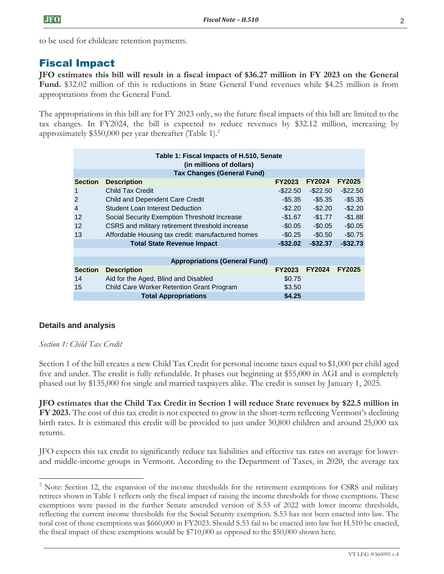to be used for childcare retention payments.

# Fiscal Impact

**JFO estimates this bill will result in a fiscal impact of \$36.27 million in FY 2023 on the General Fund.** \$32.02 million of this is reductions in State General Fund revenues while \$4.25 million is from appropriations from the General Fund.

The appropriations in this bill are for FY 2023 only, so the future fiscal impacts of this bill are limited to the tax changes. In FY2024, the bill is expected to reduce revenues by \$32.12 million, increasing by approximately  $$350,000$  per year thereafter (Table 1).<sup>2</sup>

|                                                            | Table 1: Fiscal Impacts of H.510, Senate<br>(in millions of dollars) |                                                                                                                                                                                                                                                                                                                                                                                                                                                                                                                                                                                                                                                       |               |               |               |  |  |  |  |
|------------------------------------------------------------|----------------------------------------------------------------------|-------------------------------------------------------------------------------------------------------------------------------------------------------------------------------------------------------------------------------------------------------------------------------------------------------------------------------------------------------------------------------------------------------------------------------------------------------------------------------------------------------------------------------------------------------------------------------------------------------------------------------------------------------|---------------|---------------|---------------|--|--|--|--|
|                                                            | <b>Tax Changes (General Fund)</b>                                    |                                                                                                                                                                                                                                                                                                                                                                                                                                                                                                                                                                                                                                                       |               |               |               |  |  |  |  |
|                                                            | <b>Section</b>                                                       | <b>Description</b>                                                                                                                                                                                                                                                                                                                                                                                                                                                                                                                                                                                                                                    | <b>FY2023</b> | FY2024        | FY2025        |  |  |  |  |
|                                                            | 1                                                                    | <b>Child Tax Credit</b>                                                                                                                                                                                                                                                                                                                                                                                                                                                                                                                                                                                                                               | $-$22.50$     | $-$22.50$     | $-$ \$22.50   |  |  |  |  |
|                                                            | $\overline{2}$                                                       | Child and Dependent Care Credit                                                                                                                                                                                                                                                                                                                                                                                                                                                                                                                                                                                                                       | $-$ \$5.35    | $-$ \$5.35    | $-$5.35$      |  |  |  |  |
|                                                            | $\overline{4}$                                                       | Student Loan Interest Deduction                                                                                                                                                                                                                                                                                                                                                                                                                                                                                                                                                                                                                       | $-$ \$2.20    | $-$2.20$      | $-$2.20$      |  |  |  |  |
|                                                            | 12                                                                   | Social Security Exemption Threshold Increase                                                                                                                                                                                                                                                                                                                                                                                                                                                                                                                                                                                                          | $-$1.67$      | $-$1.77$      | $-$1.88$      |  |  |  |  |
|                                                            | 12                                                                   | CSRS and military retirement threshold increase                                                                                                                                                                                                                                                                                                                                                                                                                                                                                                                                                                                                       | $-$0.05$      | $-$0.05$      | $-$0.05$      |  |  |  |  |
|                                                            | 13                                                                   | Affordable Housing tax credit: manufactured homes                                                                                                                                                                                                                                                                                                                                                                                                                                                                                                                                                                                                     | $-$0.25$      | $-$0.50$      | $-$0.75$      |  |  |  |  |
|                                                            |                                                                      | <b>Total State Revenue Impact</b>                                                                                                                                                                                                                                                                                                                                                                                                                                                                                                                                                                                                                     | $-$ \$32.02   | $-$32.37$     | $-$32.73$     |  |  |  |  |
|                                                            |                                                                      |                                                                                                                                                                                                                                                                                                                                                                                                                                                                                                                                                                                                                                                       |               |               |               |  |  |  |  |
|                                                            |                                                                      | <b>Appropriations (General Fund)</b>                                                                                                                                                                                                                                                                                                                                                                                                                                                                                                                                                                                                                  |               |               |               |  |  |  |  |
|                                                            | <b>Section</b>                                                       | <b>Description</b>                                                                                                                                                                                                                                                                                                                                                                                                                                                                                                                                                                                                                                    | <b>FY2023</b> | <b>FY2024</b> | <b>FY2025</b> |  |  |  |  |
|                                                            | 14                                                                   | Aid for the Aged, Blind and Disabled                                                                                                                                                                                                                                                                                                                                                                                                                                                                                                                                                                                                                  | \$0.75        |               |               |  |  |  |  |
|                                                            | 15                                                                   | Child Care Worker Retention Grant Program                                                                                                                                                                                                                                                                                                                                                                                                                                                                                                                                                                                                             | \$3.50        |               |               |  |  |  |  |
|                                                            |                                                                      | <b>Total Appropriations</b>                                                                                                                                                                                                                                                                                                                                                                                                                                                                                                                                                                                                                           | \$4.25        |               |               |  |  |  |  |
| <b>Details and analysis</b><br>Section 1: Child Tax Credit |                                                                      | Section 1 of the bill creates a new Child Tax Credit for personal income taxes equal to \$1,000 per<br>five and under. The credit is fully refundable. It phases out beginning at \$55,000 in AGI and is o<br>phased out by \$135,000 for single and married taxpayers alike. The credit is sunset by January 1,                                                                                                                                                                                                                                                                                                                                      |               |               |               |  |  |  |  |
| returns.                                                   |                                                                      | JFO estimates that the Child Tax Credit in Section 1 will reduce State revenues by \$22.5 :<br>FY 2023. The cost of this tax credit is not expected to grow in the short-term reflecting Vermont'<br>birth rates. It is estimated this credit will be provided to just under 30,800 children and around                                                                                                                                                                                                                                                                                                                                               |               |               |               |  |  |  |  |
|                                                            |                                                                      | JFO expects this tax credit to significantly reduce tax liabilities and effective tax rates on average<br>and middle-income groups in Vermont. According to the Department of Taxes, in 2020, the a                                                                                                                                                                                                                                                                                                                                                                                                                                                   |               |               |               |  |  |  |  |
|                                                            |                                                                      | $2^2$ Note: Section 12, the expansion of the income thresholds for the retirement exemptions for CSRS a<br>retirees shown in Table 1 reflects only the fiscal impact of raising the income thresholds for those exempt<br>exemptions were passed in the further Senate amended version of S.53 of 2022 with lower income<br>reflecting the current income thresholds for the Social Security exemption. S.53 has not been enacted in<br>total cost of those exemptions was \$660,000 in FY2023. Should S.53 fail to be enacted into law but H.510<br>the fiscal impact of these exemptions would be $$710,000$ as opposed to the \$50,000 shown here. |               |               |               |  |  |  |  |

# **Details and analysis**

#### *Section 1: Child Tax Credit*

Section 1 of the bill creates a new Child Tax Credit for personal income taxes equal to \$1,000 per child aged five and under. The credit is fully refundable. It phases out beginning at \$55,000 in AGI and is completely phased out by \$135,000 for single and married taxpayers alike. The credit is sunset by January 1, 2025.

**JFO estimates that the Child Tax Credit in Section 1 will reduce State revenues by \$22.5 million in FY 2023.** The cost of this tax credit is not expected to grow in the short-term reflecting Vermont's declining birth rates. It is estimated this credit will be provided to just under 30,800 children and around 25,000 tax returns.

JFO expects this tax credit to significantly reduce tax liabilities and effective tax rates on average for lowerand middle-income groups in Vermont. According to the Department of Taxes, in 2020, the average tax

<sup>&</sup>lt;sup>2</sup> Note: Section 12, the expansion of the income thresholds for the retirement exemptions for CSRS and military retirees shown in Table 1 reflects only the fiscal impact of raising the income thresholds for those exemptions. These exemptions were passed in the further Senate amended version of S.53 of 2022 with lower income thresholds, reflecting the current income thresholds for the Social Security exemption. S.53 has not been enacted into law. The total cost of those exemptions was \$660,000 in FY2023. Should S.53 fail to be enacted into law but H.510 be enacted,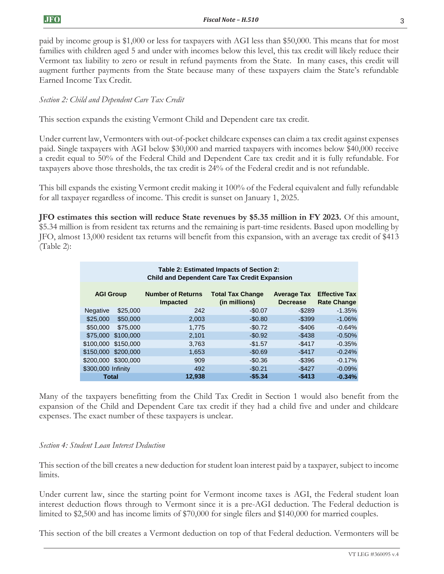paid by income group is \$1,000 or less for taxpayers with AGI less than \$50,000. This means that for most families with children aged 5 and under with incomes below this level, this tax credit will likely reduce their Vermont tax liability to zero or result in refund payments from the State. In many cases, this credit will augment further payments from the State because many of these taxpayers claim the State's refundable Earned Income Tax Credit.

# *Section 2: Child and Dependent Care Tax Credit*

This section expands the existing Vermont Child and Dependent care tax credit.

Under current law, Vermonters with out-of-pocket childcare expenses can claim a tax credit against expenses paid. Single taxpayers with AGI below \$30,000 and married taxpayers with incomes below \$40,000 receive a credit equal to 50% of the Federal Child and Dependent Care tax credit and it is fully refundable. For taxpayers above those thresholds, the tax credit is 24% of the Federal credit and is not refundable.

This bill expands the existing Vermont credit making it 100% of the Federal equivalent and fully refundable for all taxpayer regardless of income. This credit is sunset on January 1, 2025.

**JFO estimates this section will reduce State revenues by \$5.35 million in FY 2023.** Of this amount, \$5.34 million is from resident tax returns and the remaining is part-time residents. Based upon modelling by JFO, almost 13,000 resident tax returns will benefit from this expansion, with an average tax credit of \$413 (Table 2):

|                                            |                                                      |                     |                                                                                                                                                                                                                                                                                                                             | Table 2: Estimated Impacts of Section 2: |                                  |                    |  |  |
|--------------------------------------------|------------------------------------------------------|---------------------|-----------------------------------------------------------------------------------------------------------------------------------------------------------------------------------------------------------------------------------------------------------------------------------------------------------------------------|------------------------------------------|----------------------------------|--------------------|--|--|
|                                            | <b>Child and Dependent Care Tax Credit Expansion</b> |                     |                                                                                                                                                                                                                                                                                                                             |                                          |                                  |                    |  |  |
|                                            | <b>AGI Group</b>                                     |                     | <b>Number of Returns</b>                                                                                                                                                                                                                                                                                                    | <b>Total Tax Change</b>                  | <b>Average Tax Effective Tax</b> |                    |  |  |
|                                            |                                                      |                     | Impacted                                                                                                                                                                                                                                                                                                                    | (in millions)                            | <b>Decrease</b>                  | <b>Rate Change</b> |  |  |
|                                            | Negative                                             | \$25,000            | 242                                                                                                                                                                                                                                                                                                                         | $-$0.07$                                 | $-$289$                          | $-1.35%$           |  |  |
|                                            | \$25,000                                             | \$50,000            | 2,003                                                                                                                                                                                                                                                                                                                       | $-$0.80$                                 | $-$ \$399                        | $-1.06%$           |  |  |
|                                            | \$50,000                                             | \$75,000            | 1,775                                                                                                                                                                                                                                                                                                                       | $-$0.72$                                 | $-$406$                          | $-0.64%$           |  |  |
|                                            |                                                      | \$75,000 \$100,000  | 2,101                                                                                                                                                                                                                                                                                                                       | $-$0.92$                                 | $-$438$                          | $-0.50%$           |  |  |
|                                            | \$100,000 \$150,000                                  |                     | 3,763                                                                                                                                                                                                                                                                                                                       | $-$1.57$                                 | $-$ \$417                        | $-0.35%$           |  |  |
|                                            | \$150,000 \$200,000                                  |                     | 1,653                                                                                                                                                                                                                                                                                                                       | $-$0.69$                                 | $-$ \$417                        | $-0.24%$           |  |  |
|                                            |                                                      | \$200,000 \$300,000 | 909                                                                                                                                                                                                                                                                                                                         | $-$0.36$                                 | $-$ \$396                        | $-0.17%$           |  |  |
|                                            | \$300,000 Infinity                                   |                     | 492                                                                                                                                                                                                                                                                                                                         | $-$0.21$                                 | $-$ \$427                        | $-0.09%$           |  |  |
|                                            | <b>Total</b>                                         |                     | 12,938                                                                                                                                                                                                                                                                                                                      | $-$5.34$                                 | $-$413$                          | $-0.34%$           |  |  |
| Section 4: Student Loan Interest Deduction |                                                      |                     | expenses. The exact number of these taxpayers is unclear.                                                                                                                                                                                                                                                                   |                                          |                                  |                    |  |  |
| limits.                                    |                                                      |                     | This section of the bill creates a new deduction for student loan interest paid by a taxpayer, subject to income                                                                                                                                                                                                            |                                          |                                  |                    |  |  |
|                                            |                                                      |                     | Under current law, since the starting point for Vermont income taxes is AGI, the Federal student loan<br>interest deduction flows through to Vermont since it is a pre-AGI deduction. The Federal deduction is<br>limited to \$2,500 and has income limits of \$70,000 for single filers and \$140,000 for married couples. |                                          |                                  |                    |  |  |
|                                            |                                                      |                     | This section of the bill creates a Vermont deduction on top of that Federal deduction. Vermonters will be                                                                                                                                                                                                                   |                                          |                                  |                    |  |  |

#### *Section 4: Student Loan Interest Deduction*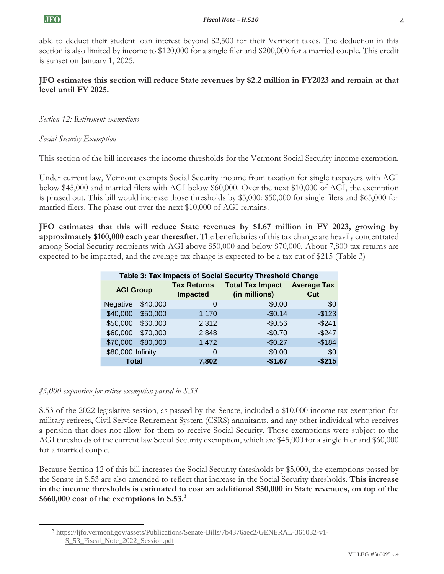able to deduct their student loan interest beyond \$2,500 for their Vermont taxes. The deduction in this section is also limited by income to \$120,000 for a single filer and \$200,000 for a married couple. This credit is sunset on January 1, 2025.

## **JFO estimates this section will reduce State revenues by \$2.2 million in FY2023 and remain at that level until FY 2025.**

#### *Section 12: Retirement exemptions*

#### *Social Security Exemption*

This section of the bill increases the income thresholds for the Vermont Social Security income exemption.

Under current law, Vermont exempts Social Security income from taxation for single taxpayers with AGI below \$45,000 and married filers with AGI below \$60,000. Over the next \$10,000 of AGI, the exemption is phased out. This bill would increase those thresholds by \$5,000: \$50,000 for single filers and \$65,000 for married filers. The phase out over the next \$10,000 of AGI remains.

**JFO estimates that this will reduce State revenues by \$1.67 million in FY 2023, growing by approximately \$100,000 each year thereafter.** The beneficiaries of this tax change are heavily concentrated among Social Security recipients with AGI above \$50,000 and below \$70,000. About 7,800 tax returns are expected to be impacted, and the average tax change is expected to be a tax cut of \$215 (Table 3)

| Table 3: Tax Impacts of Social Security Threshold Change |          |                                       |                                          |                           |  |  |  |
|----------------------------------------------------------|----------|---------------------------------------|------------------------------------------|---------------------------|--|--|--|
| <b>AGI Group</b>                                         |          | <b>Tax Returns</b><br><b>Impacted</b> | <b>Total Tax Impact</b><br>(in millions) | <b>Average Tax</b><br>Cut |  |  |  |
| <b>Negative</b>                                          | \$40,000 | 0                                     | \$0.00                                   | \$0                       |  |  |  |
| \$40,000                                                 | \$50,000 | 1,170                                 | $-$0.14$                                 | $-$123$                   |  |  |  |
| \$50,000                                                 | \$60,000 | 2,312                                 | $-$0.56$                                 | $-$241$                   |  |  |  |
| \$60,000                                                 | \$70,000 | 2,848                                 | $-$0.70$                                 | $-$247$                   |  |  |  |
| \$70,000                                                 | \$80,000 | 1,472                                 | $-$0.27$                                 | $-$184$                   |  |  |  |
| \$80,000 Infinity                                        |          | 0                                     | \$0.00                                   | \$0                       |  |  |  |
| Total                                                    |          | 7,802                                 | $-$1.67$                                 | -\$215                    |  |  |  |

#### *\$5,000 expansion for retiree exemption passed in S.53*

S.53 of the 2022 legislative session, as passed by the Senate, included a \$10,000 income tax exemption for military retirees, Civil Service Retirement System (CSRS) annuitants, and any other individual who receives a pension that does not allow for them to receive Social Security. Those exemptions were subject to the AGI thresholds of the current law Social Security exemption, which are \$45,000 for a single filer and \$60,000 for a married couple.

Because Section 12 of this bill increases the Social Security thresholds by \$5,000, the exemptions passed by the Senate in S.53 are also amended to reflect that increase in the Social Security thresholds. **This increase in the income thresholds is estimated to cost an additional \$50,000 in State revenues, on top of the \$660,000 cost of the exemptions in S.53.<sup>3</sup>**

<sup>3</sup> [https://ljfo.vermont.gov/assets/Publications/Senate-Bills/7b4376aec2/GENERAL-361032-v1-](https://ljfo.vermont.gov/assets/Publications/Senate-Bills/7b4376aec2/GENERAL-361032-v1-S_53_Fiscal_Note_2022_Session.pdf) [S\\_53\\_Fiscal\\_Note\\_2022\\_Session.pdf](https://ljfo.vermont.gov/assets/Publications/Senate-Bills/7b4376aec2/GENERAL-361032-v1-S_53_Fiscal_Note_2022_Session.pdf)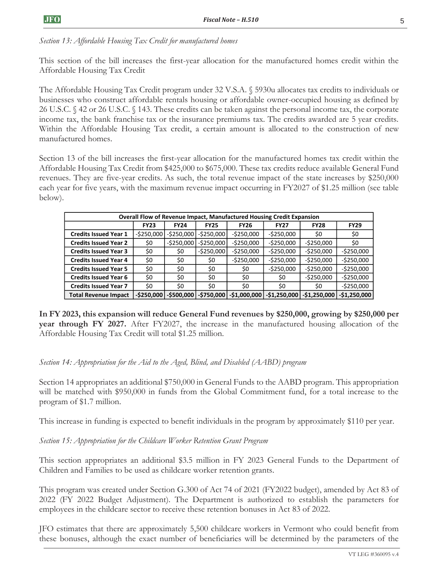*Section 13: Affordable Housing Tax Credit for manufactured homes*

This section of the bill increases the first-year allocation for the manufactured homes credit within the Affordable Housing Tax Credit

The Affordable Housing Tax Credit program under 32 V.S.A. § 5930u allocates tax credits to individuals or businesses who construct affordable rentals housing or affordable owner-occupied housing as defined by 26 U.S.C. § 42 or 26 U.S.C. § 143. These credits can be taken against the personal income tax, the corporate income tax, the bank franchise tax or the insurance premiums tax. The credits awarded are 5 year credits. Within the Affordable Housing Tax credit, a certain amount is allocated to the construction of new manufactured homes.

Section 13 of the bill increases the first-year allocation for the manufactured homes tax credit within the Affordable Housing Tax Credit from \$425,000 to \$675,000. These tax credits reduce available General Fund revenues. They are five-year credits. As such, the total revenue impact of the state increases by \$250,000 each year for five years, with the maximum revenue impact occurring in FY2027 of \$1.25 million (see table below).

| Overall Flow of Revenue Impact, Manufactured Housing Credit Expansion |               |               |               |               |               |               |               |
|-----------------------------------------------------------------------|---------------|---------------|---------------|---------------|---------------|---------------|---------------|
|                                                                       | <b>FY23</b>   | <b>FY24</b>   | <b>FY25</b>   | <b>FY26</b>   | <b>FY27</b>   | <b>FY28</b>   | <b>FY29</b>   |
| <b>Credits Issued Year 1</b>                                          | $-$ \$250,000 | $-$ \$250,000 | $-5250,000$   | $-$ \$250,000 | $-$ \$250,000 | \$0           | \$0           |
| <b>Credits Issued Year 2</b>                                          | \$0           | $-$ \$250,000 | $-$ \$250,000 | $-5250,000$   | $-$250,000$   | $-$ \$250,000 | \$0           |
| <b>Credits Issued Year 3</b>                                          | \$0           | \$0           | $-$250,000$   | $-5250,000$   | $-$ \$250,000 | $-5250,000$   | $-$250,000$   |
| <b>Credits Issued Year 4</b>                                          | \$0           | \$0           | \$0           | $-$ \$250,000 | $-5250,000$   | $-5250,000$   | $-5250,000$   |
| <b>Credits Issued Year 5</b>                                          | \$0           | \$0           | \$0           | \$0           | $-$ \$250,000 | $-$ \$250,000 | $-5250,000$   |
| <b>Credits Issued Year 6</b>                                          | \$0           | \$0           | \$0           | \$0           | \$0           | $-$ \$250,000 | $-5250,000$   |
| <b>Credits Issued Year 7</b>                                          | \$0           | \$0           | \$0           | \$0           | \$0           | \$0           | $-5250,000$   |
| <b>Total Revenue Impact</b>                                           | $-$ \$250.000 | $-$ \$500.000 | $-$750,000$   | -\$1,000,000  | $-$1,250,000$ | $-$1,250,000$ | $-$1,250,000$ |

**In FY 2023, this expansion will reduce General Fund revenues by \$250,000, growing by \$250,000 per year through FY 2027.** After FY2027, the increase in the manufactured housing allocation of the Affordable Housing Tax Credit will total \$1.25 million.

#### *Section 14: Appropriation for the Aid to the Aged, Blind, and Disabled (AABD) program*

Section 14 appropriates an additional \$750,000 in General Funds to the AABD program. This appropriation will be matched with \$950,000 in funds from the Global Commitment fund, for a total increase to the program of \$1.7 million.

This increase in funding is expected to benefit individuals in the program by approximately \$110 per year.

*Section 15: Appropriation for the Childcare Worker Retention Grant Program*

This section appropriates an additional \$3.5 million in FY 2023 General Funds to the Department of Children and Families to be used as childcare worker retention grants.

This program was created under Section G.300 of Act 74 of 2021 (FY2022 budget), amended by Act 83 of 2022 (FY 2022 Budget Adjustment). The Department is authorized to establish the parameters for employees in the childcare sector to receive these retention bonuses in Act 83 of 2022.

JFO estimates that there are approximately 5,500 childcare workers in Vermont who could benefit from these bonuses, although the exact number of beneficiaries will be determined by the parameters of the